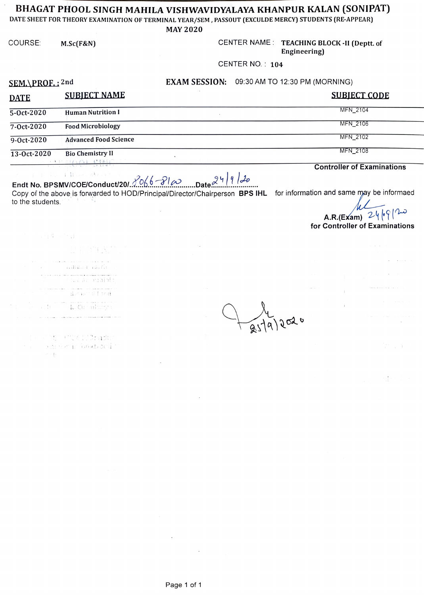## BHAGAT PHOOL SINGH MAHILA VISHWAVIDYALAYA KHANPUR KALAN (SONIPAT)

DATE SHEET FOR THEORY EXAMINATION OF TERMINAL YEAR/SEM, PASSOUT (EXCULDE MERCY) STUDENTS (RE-APPEAR)

**MAY 2020** 

COURSE:  $M.Sc(F&N)$  CENTER NAME: TEACHING BLOCK -II (Deptt. of

Engineering)

CENTER NO.: 104

SEM.\PROF.: 2nd

## EXAM SESSION: 09:30 AM TO 12:30 PM (MORNING)

| <b>DATE</b> | <b>SUBIECT NAME</b>                                        | <b>SUBJECT CODE</b> |
|-------------|------------------------------------------------------------|---------------------|
| 5-Oct-2020  | <b>Human Nutrition I</b>                                   | MFN 2104            |
| 7-Oct-2020  | <b>Food Microbiology</b>                                   | MFN 2106            |
| 9-0ct-2020  | <b>Advanced Food Science</b>                               | MFN 2102            |
| 13-Oct-2020 | <b>Bio Chemistry II</b><br>· 一、「「「LE SHALLAND 」 「以外面】 (「)」 | MFN 2108            |

**Controller of Examinations** 

 $\mathcal{X}=\mathcal{X}$  as a Hilbert  $\mathcal{B}(\mathcal{Y})\neq \mathcal{C}^{\mathcal{X}}$ Endt No. BPSMV/COE/Conduct/20/ $\frac{\sqrt{066}-\sqrt{100}}{20}$  Date  $\frac{24}{100}$  $|9|20$ 

Copy of the above is forwarded to HOD/Principal/Director/Chairperson BPS IHL for information and same may be informaed to the students.

 $A.R.(Exam) 24|.9|$  $\sim$ for Controller of Examinations

 $\tilde{\omega} = -\omega_{\rm c}$  .

四年中 "三世 series to con-- annsa lairh **Socarabiot** durant al Lond al an Chamberg

j - Vissi Mode (Türklum for a strong is converged.  $\sim$   $\sim$   $\mu$